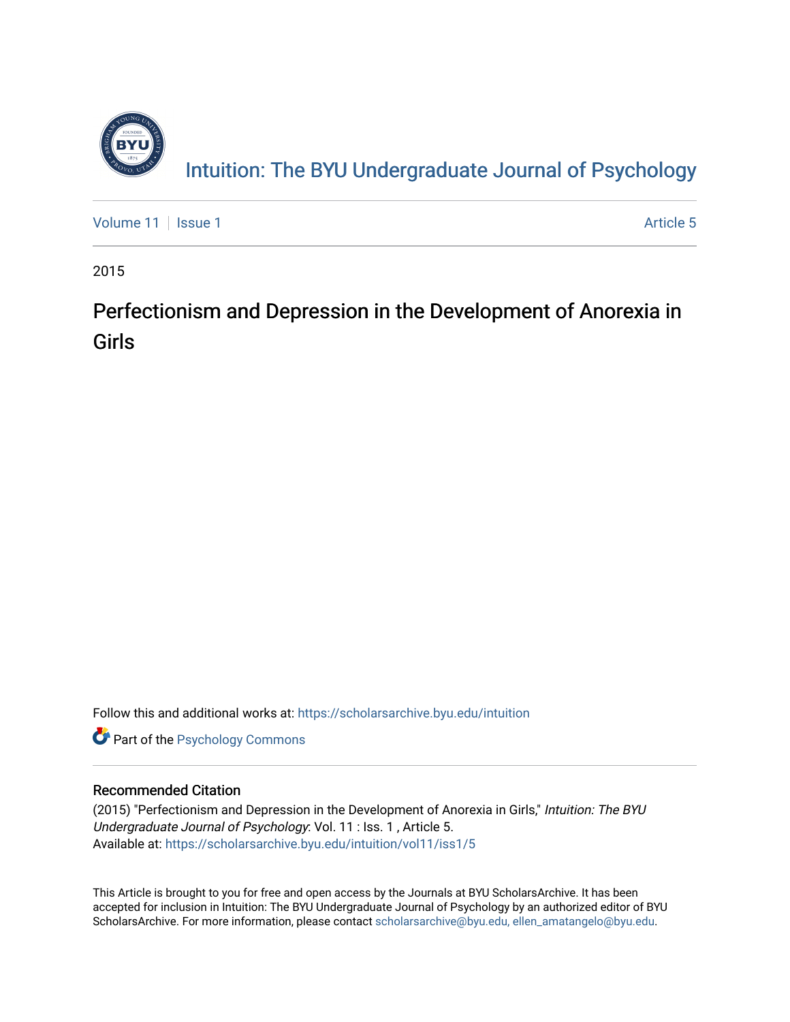

Intuition: The BY[U Undergraduate Journal of Psy](https://scholarsarchive.byu.edu/intuition)chology

[Volume 11](https://scholarsarchive.byu.edu/intuition/vol11) | [Issue 1](https://scholarsarchive.byu.edu/intuition/vol11/iss1) Article 5

2015

## Perfectionism and Depression in the Development of Anorexia in Girls

Follow this and additional works at: [https://scholarsarchive.byu.edu/intuition](https://scholarsarchive.byu.edu/intuition?utm_source=scholarsarchive.byu.edu%2Fintuition%2Fvol11%2Fiss1%2F5&utm_medium=PDF&utm_campaign=PDFCoverPages) 

**Part of the Psychology Commons** 

### Recommended Citation

(2015) "Perfectionism and Depression in the Development of Anorexia in Girls," Intuition: The BYU Undergraduate Journal of Psychology: Vol. 11 : Iss. 1 , Article 5. Available at: [https://scholarsarchive.byu.edu/intuition/vol11/iss1/5](https://scholarsarchive.byu.edu/intuition/vol11/iss1/5?utm_source=scholarsarchive.byu.edu%2Fintuition%2Fvol11%2Fiss1%2F5&utm_medium=PDF&utm_campaign=PDFCoverPages) 

This Article is brought to you for free and open access by the Journals at BYU ScholarsArchive. It has been accepted for inclusion in Intuition: The BYU Undergraduate Journal of Psychology by an authorized editor of BYU ScholarsArchive. For more information, please contact [scholarsarchive@byu.edu, ellen\\_amatangelo@byu.edu.](mailto:scholarsarchive@byu.edu,%20ellen_amatangelo@byu.edu)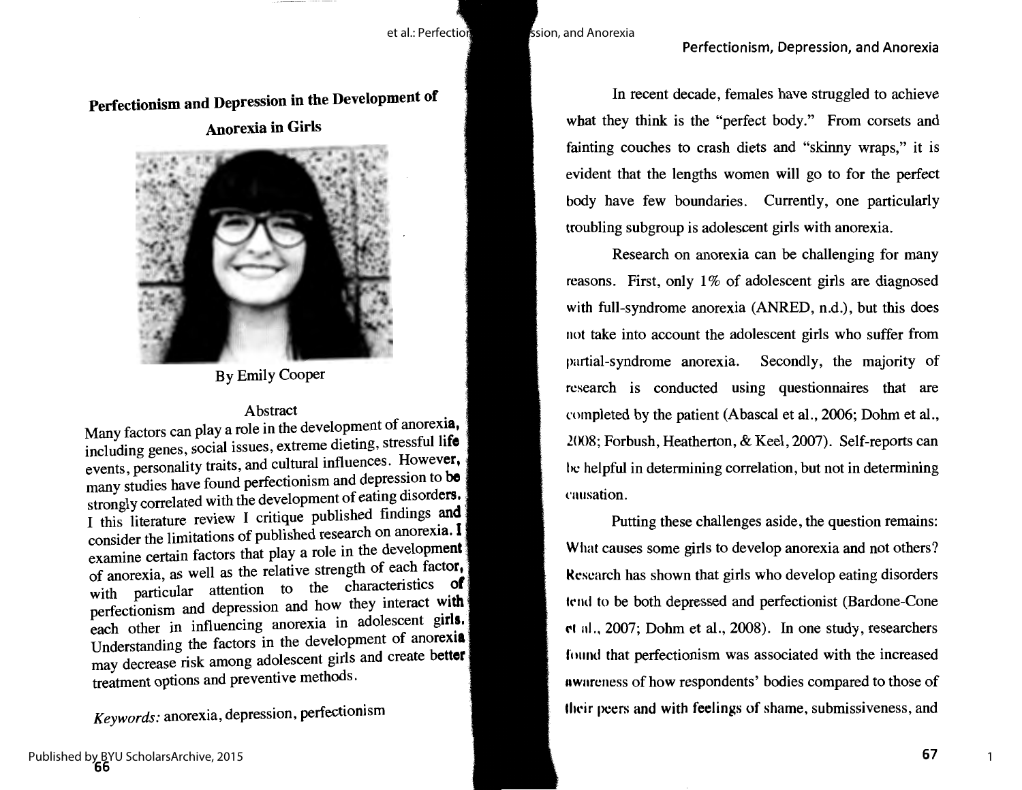et al.: Perfection et al.: Perfection

Perfectionism and Depression in the Development of

Anorexia in Girls



By Emily Cooper

### Abstract

Many factors can play a role in the development of anorexia, including genes, social issues, extreme dieting, stressful **life**  events, personality traits, and cultural influences. However, many studies have found perfectionism and depression to **be**  strongly correlated with the development of eating disorders, I this literature review I critique published findings **and**  consider the limitations of published research on anorexia. I examine certain factors that play a role in the development of anorexia, as well as the relative strength of each **factor,**  with particular attention to the characteristics **of**  perfectionism and depression and how they interact **with**  each other in influencing anorexia in adolescent **girls,**  Understanding the factors in the development of **anorexia**  may decrease risk among adolescent girls and create **better**  treatment options and preventive methods.

*Keywords:* anorexia, depression, perfectionism

In recent decade, females have struggled to achieve what they think is the "perfect body." From corsets and fainting couches to crash diets and "skinny wraps," it is evident that the lengths women will go to for the perfect body have few boundaries. Currently, one particularly troubling subgroup is adolescent girls with anorexia.

Research on anorexia can be challenging for many reasons. First, only 1% of adolescent girls are diagnosed with full-syndrome anorexia (ANRED, n.d.), but this does not take into account the adolescent girls who suffer from partial-syndrome anorexia. Secondly, the majority of research is conducted using questionnaires that are completed by the patient (Abascal et al., 2006; Dohm et al., 2008; Forbush, Heatherton, & Keel, 2007). Self-reports can he helpful in determining correlation, but not in determining causation.

Putting these challenges aside, the question remains: What causes some girls to develop anorexia and not others? kcscarch has shown that girls who develop eating disorders trnd to be both depressed and perfectionist (Bartlone-Cone **rl** 11I., 2007; Dohrn et al., 2008). In one study, researchers found that perfectionism was associated with the increased Awnrcness of how respondents' bodies compared to those of their peers and with feelings of shame, submissiveness, and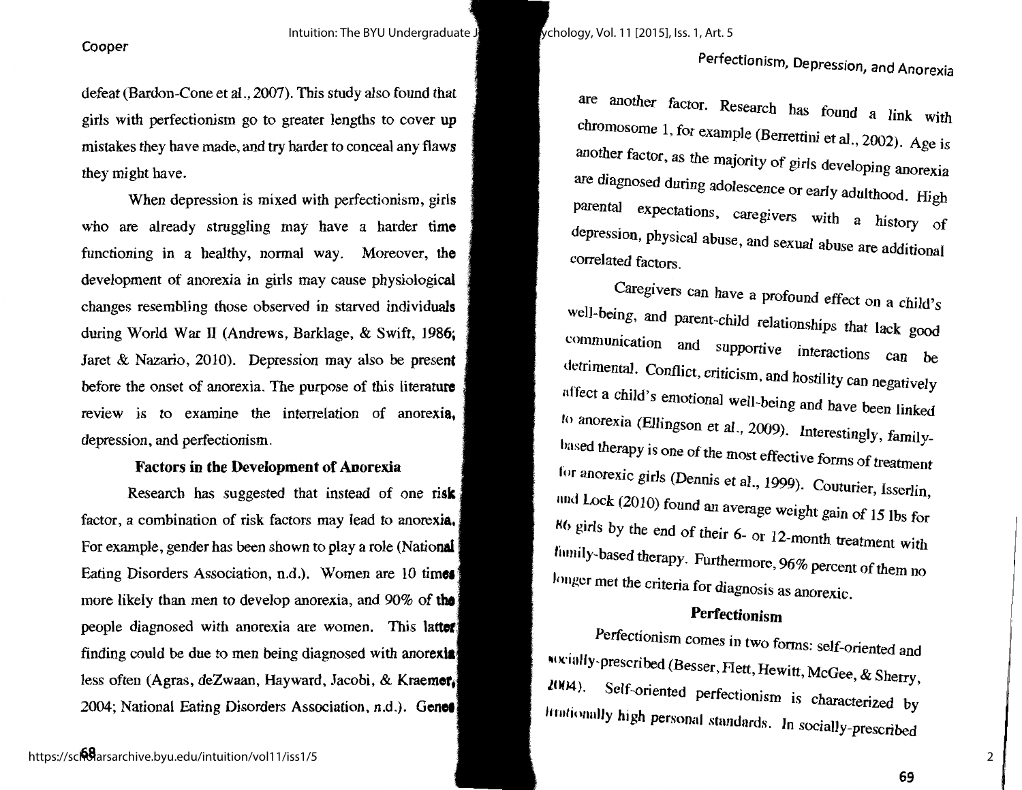defeat (Bardon-Cone et al., 2007). This study also found that girls with perfectionism go to greater lengths to cover up mistakes they have made, and try harder to conceal any flaws they might have.

When depression is mixed with perfectionism, girls who are already struggling may have a harder **time**  functioning in a healthy, normal way. Moreover, **the**  development of anorexia in girls may cause physiological changes resembling those observed in starved **individuals**  during World War II (Andrews, Barklage, & Swift, **1986;**  Jaret & Nazario, 2010). Depression may also be **present**  before the onset of anorexia. The purpose of this **literature**  review is to examine the interrelation of **anorexia,**  depression, and perfectionism.

### **Factors in the Development of Anorexia**

Research has suggested that instead of one risk factor, a combination of risk factors may lead to **anorexia.**  For example, gender has been shown to play a role **(National**  Eating Disorders Association, n.d.). Women are 10 **time1**  more likely than men to develop anorexia, and 90% of **the**  people diagnosed with anorexia are women. This **latter**  finding could be due to men being diagnosed with **anorexia**  less often (Agras, deZwaan, Hayward, Jacobi, & **Kraemer,**  2004; National Eating Disorders Association, n.d.). **Genet** 

are another factor. Research has found a link with chromosome 1, for example (Berrettini et al., 2002). Age is another factor, as the majority of girls developing anorexia are diagnosed during adolescence or early adulthood. High parental expectations, caregivers with a history of depression, physical abuse, and sexual abuse are additional correlated factors.

Caregivers can have a profound effect on a child's well-being, and parent-child relationships that lack good communication and supportive interactions can be detrimental. Conflict, criticism, and hostility can negatively affect a child's emotional well-being and have been linked to anorexia (EUingson et al., 2009). Interestingly, familyhased therapy is one of the most effective forms of treatment for anorexic girls (Dennis et al., 1999). Couturier, Isserlin, 1111d Lock (2010) found an average weight gain of 15 lbs for **Hti** girls by the end of their 6- or 12-month treatment with liunily-based therapy. Furthermore, 96% percent of them no longer met the criteria for diagnosis as anorexic.

### **Perfectionism**

Perfectionism comes in two forms: self-oriented and **<sup>111</sup>**K·ially-prescribed (Besser, Flett, Hewitt, McGee, & Sherry,  $2004$ ). Self-oriented perfectionism is characterized by Irrationally high personal standards. In socially-prescribed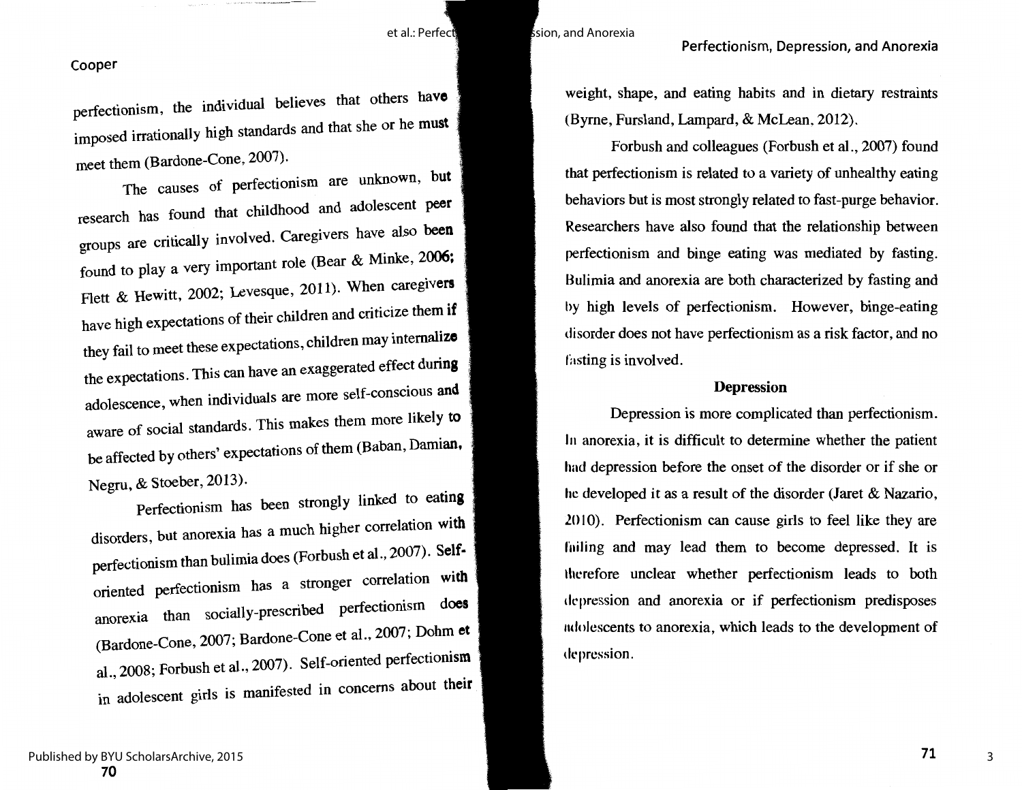et al.: Perfection is a sion, and Anorexia

### Perfectionism, Depression, and Anorexia

#### Cooper

perfectionism, the individual believes that others **have**  imposed irrationally high standards and that she or he **must**  meet them (Bardone-Cone, 2007).

The causes of perfectionism are unknown, **but**  research has found that childhood and adolescent **peer**  groups are critically involved. Caregivers have also **been**  found to play a very important role (Bear & Minke, 2006; Flett & Hewitt, 2002; Levesque, 2011). When **caregivers**  have high expectations of their children and criticize them **if**  they fail to meet these expectations, children may **internalize**  the expectations. This can have an exaggerated effect **during**  adolescence, when individuals are more self-conscious **and**  aware of social standards. This makes them more likely **to**  be affected by others' expectations of them (Baban, **Damian,**  Negru, & Stoeber, 2013).

Perfectionism has been strongly linked to **eating**  disorders, but anorexia has a much higher correlation **with**  perfectionism than bulimia does (Forbush et al., 2007). **Self**oriented perfectionism has a stronger correlation **with**  anorexia than socially-prescribed perfectionism **does**  (Bartlone-Cone, 2007; Bartlone-Cone et al., 2007; Dohm **et**  al., 2008; Forbush et al., 2007). Self-oriented perfectionism in adolescent girls is manifested in concerns about **their**  weight, shape, and eating habits and in dietary restraints (Byrne, Fursland, Lampard, & McLean, 2012).

Forbush and colleagues (Forbush et al., 2007) found that perfectionism is related to a variety of unhealthy eating behaviors but is most strongly related to fast-purge behavior. Researchers have also found that the relationship between perfectionism and binge eating was mediated by fasting. Bulimia and anorexia are both characterized by fasting and hy high levels of perfectionism. However, binge-eating disorder does not have perfectionism as a risk factor, and no fasting is involved.

### **Depression**

Depression is more complicated than perfectionism. In anorexia, it is difficult to determine whether the patient had depression before the onset of the disorder or if she or he developed it as a result of the disorder (Jaret & Nazario,  $2010$ . Perfectionism can cause girls to feel like they are fulling and may lead them to become depressed. It is lhcrefore unclear whether perfectionism leads to both tlcpression and anorexia or if perfectionism predisposes ndolescents to anorexia, which leads to the development of depression.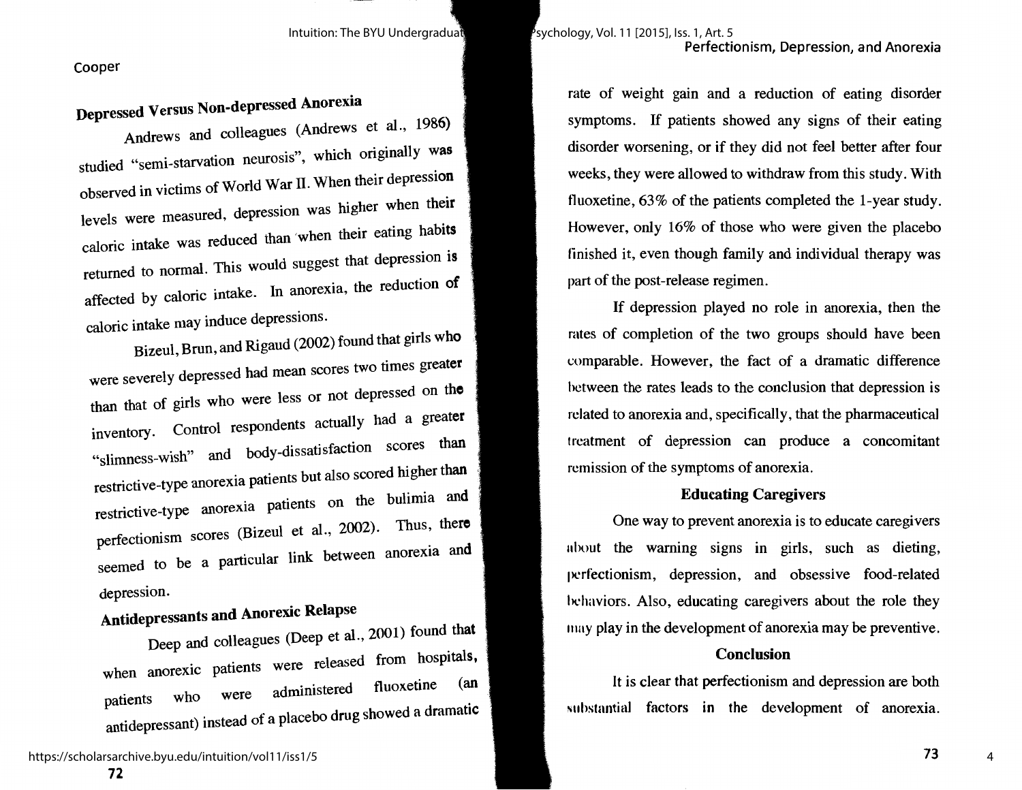# **Depressed Versus Non-depressed Anorexia**

Andrews and colleagues (Andrews et al., 1986) studied "semi-starvation neurosis", which originally was observed in victims of World War IL When their depression levels were measured, depression was higher when **their**  caloric intake was reduced than ·when their eating **habits**  returned to normal. This would suggest that depression **is**  affected by caloric intake. In anorexia, the reduction **of**  caloric intake may induce depressions.

Bizeul, Brun, and Rigaud (2002) found that girls **who**  were severely depressed had mean scores two times **greater**  than that of girls who were less or not depressed on **the**  inventory. Control respondents actually had a greater "slimness-wish" and body-dissatisfaction scores than restrictive-type anorexia patients but also scored higher than restrictive-type anorexia patients on the bulimia **and**  perfectionism scores (Bizeul et al., 2002). Thus, **there**  seemed to be a particular link between anorexia **and**  depression.

# **Antidepressants and Anorexic Relapse**

Deep and colleagues (Deep et al., 2001) found **that**  when anorexic patients were released from hospitals, patients who were administered fluoxetine (an antidepressant) instead of a placebo drug showed a dramatic rate of weight gain and a reduction of eating disorder symptoms. If patients showed any signs of their eating disorder worsening, or if they did not feel better after four weeks, they were allowed to withdraw from this study. With tluoxetine, 63% of the patients completed the 1-year study. However, only 16% of those who were given the placebo finished it, even though family and individual therapy was part of the post-release regimen.

If depression played no role in anorexia, then the rates of completion of the two groups should have been comparable. However, the fact of a dramatic difference hctween the rates leads to the conclusion that depression is related to anorexia and, specifically, that the pharmaceutical treatment of depression can produce a concomitant remission of the symptoms of anorexia.

### **Educating Caregivers**

One way to prevent anorexia is to educate caregivers ahout the warning signs in girls, such as dieting, perfectionism, depression, and obsessive food-related hchaviors. Also, educating caregivers about the role they 11111y play in the development of anorexia may be preventive.

### **Conclusion**

It is clear that perfectionism and depression are both ~uhstantial factors in the development of anorexia.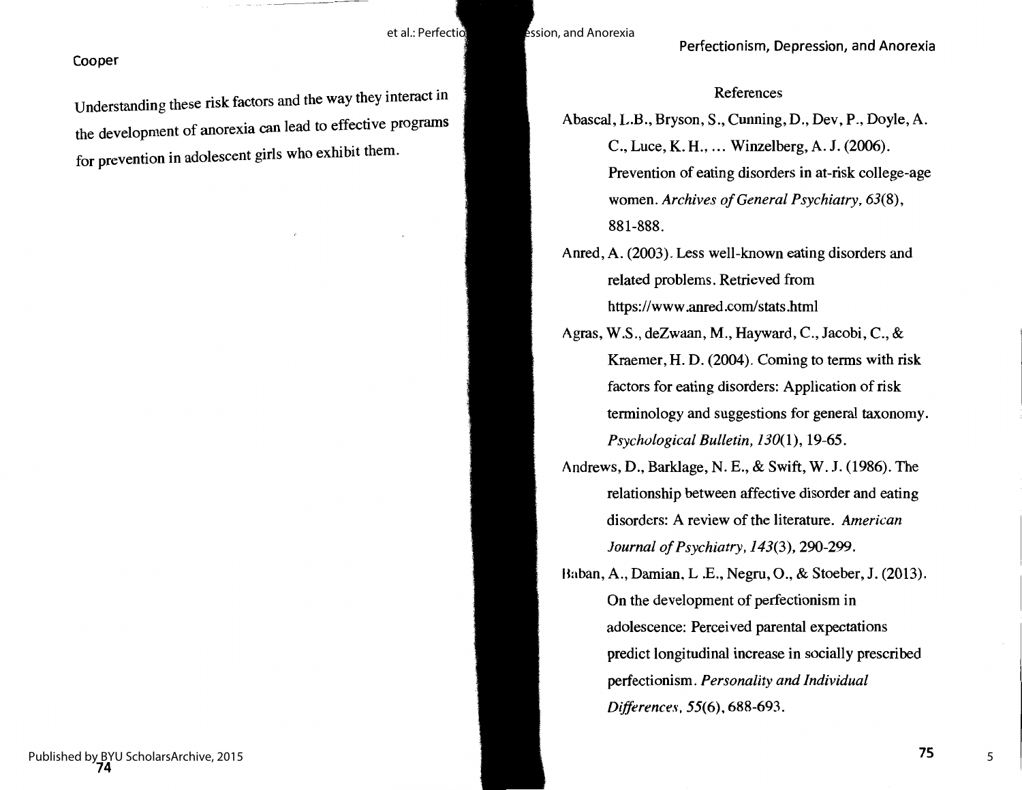Understanding these risk factors and the way they interact in the development of anorexia can lead to effective programs for prevention in adolescent girls who exhibit them.

References

- Abascal, L.B., Bryson, S., Cunning, D., Dev, P., Doyle,A. C., Luce, K. H., ... Winzelberg, A. J. (2006). Prevention of eating disorders in at-risk college-age women. *Archives of General Psychiatry, 63(8),*  881-888.
- Anred, A. (2003). Less well-known eating disorders and related problems. Retrieved from https://www .anred.com/stats .html
- Agras, W.S., deZwaan, M., Hayward, C., Jacobi, C., & Kraemer, H. D. (2004). Coming to terms with risk factors for eating disorders: Application of risk terminology and suggestions for general taxonomy. *Psychological Bulletin, 130(1),* 19-65.
- Andrews, D., Barklage, N. E., & Swift, **W. J.** (1986). The relationship between affective disorder and eating disorders: A review of the literature. *American Journal of Psychiatry, 143(3),* 290-299.
- Baban, A., Damian, L.E., Negru, O., & Stoeber, J. (2013). On the development of perfectionism in adolescence: Perceived parental expectations predict longitudinal increase in socially prescribed perfectionism. *Personality and Individual Differences,* **55(6), 688-693.**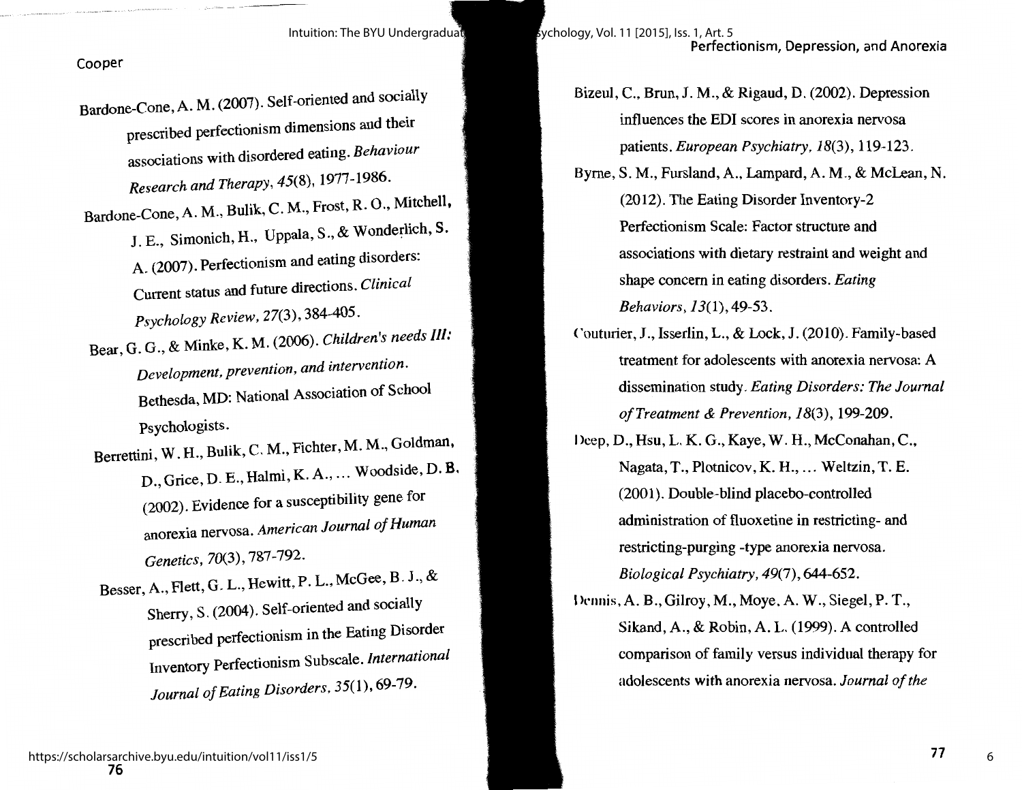- Bardone-Cone, A. M. (2007). Self-oriented and socially prescribed perfectionism dimensions and their associations with disordered eating. *Behaviour Research and Therapy,* 45(8), 1977-1986.
- Bardone-Cone, A. M., Bulik, C. **M.,** Frost, R. 0., Mitchell, J. E., Simonich, H., Uppala, S., & Wonderlich, S. A. (2007). Perfectionism and eating disorders: Current status and future directions. *Clinical Psychology Review,* 27(3), 384-405.
- Bear, G. G., & Minke, K. M. (2006). *Children's needs* Ill: *Development, prevention, and intervention.*  Bethesda, MD: National Association of School Psychologists.
- Berrettini, W. H., Bulik, C. M., Fichter, **M. M.,** Goldman, D., Grice, D. E., Halmi, K. A., ... Woodside, D. **B.**  (2002). Evidence for a susceptibility gene for anorexia nervosa. *American Journal of Human Genetics,* 70(3), 787-792.
- Besser, A., Flett, G. L., Hewitt, P. L., McGee, B. J., & Sherry, S. (2004). Self-oriented and socially prescribed perfectionism in the Eating Disorder Inventory Perfectionism Subscale. *International Journal of Eating Disorders,* 35(1), 69-79.
- Bizeul, C., Brun, **J.M.,** & Rigaud, D. (2002). Depression influences the EDI scores **in** anorexia nervosa patients. *European Psychiatry, 18(3),* 119-123.
- Byrne, S. M., Fursland, A., Lampard, A. **M.,** & McLean, N. (2012). The Eating Disorder Inventory-2 Perfectionism Scale: Factor structure and associations with dietary restraint and weight and shape concern in eating disorders. *Eating Behaviors,* 13(1), 49-53.
- Couturier, J., Isserlin, L., & Lock, J. (2010). Family-based treatment for adolescents with anorexia nervosa: A dissemination study. *Eating Disorders: The Journal of Treatment & Prevention, 18(3),* 199-209.
- Deep, D., Hsu, L. K. G., Kaye, W. H., McConahan, C., Nagata, T., Plotnicov, K. H., ... Weltzin, T. E. (2001). Double-blind placebo-controlled administration of fluoxetine in restricting- and restricting-purging -type anorexia nervosa. *Biological Psychiatry,* 49(7), 644-652.
- I knnis, A. B., Gilroy, M., Moye, A. W., Siegel, P. T., Sikand, A., & Robin, A. L. (1999). A controlled comparison of family versus individual therapy for adolescents with anorexia nervosa. *Journal of the*